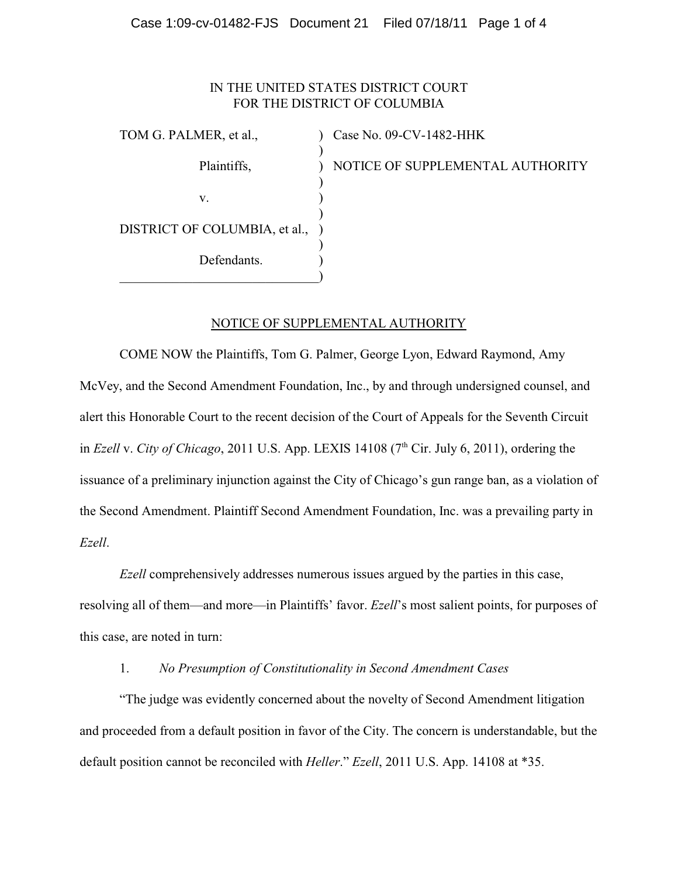### Case 1:09-cv-01482-FJS Document 21 Filed 07/18/11 Page 1 of 4

# IN THE UNITED STATES DISTRICT COURT FOR THE DISTRICT OF COLUMBIA

TOM G. PALMER, et al.,  $\qquad \qquad$  ) Case No. 09-CV-1482-HHK ) Plaintiffs,  $\blacksquare$ ) NOTICE OF SUPPLEMENTAL AUTHORITY ) v. (1) ) DISTRICT OF COLUMBIA, et al., ) ) Defendants.  $\qquad \qquad \Box$ 

# NOTICE OF SUPPLEMENTAL AUTHORITY

COME NOW the Plaintiffs, Tom G. Palmer, George Lyon, Edward Raymond, Amy McVey, and the Second Amendment Foundation, Inc., by and through undersigned counsel, and alert this Honorable Court to the recent decision of the Court of Appeals for the Seventh Circuit in *Ezell* v. *City of Chicago*, 2011 U.S. App. LEXIS 14108 ( $7<sup>th</sup>$  Cir. July 6, 2011), ordering the issuance of a preliminary injunction against the City of Chicago's gun range ban, as a violation of the Second Amendment. Plaintiff Second Amendment Foundation, Inc. was a prevailing party in *Ezell*.

*Ezell* comprehensively addresses numerous issues argued by the parties in this case, resolving all of them—and more—in Plaintiffs' favor. *Ezell*'s most salient points, for purposes of this case, are noted in turn:

#### 1. *No Presumption of Constitutionality in Second Amendment Cases*

"The judge was evidently concerned about the novelty of Second Amendment litigation and proceeded from a default position in favor of the City. The concern is understandable, but the default position cannot be reconciled with *Heller*." *Ezell*, 2011 U.S. App. 14108 at \*35.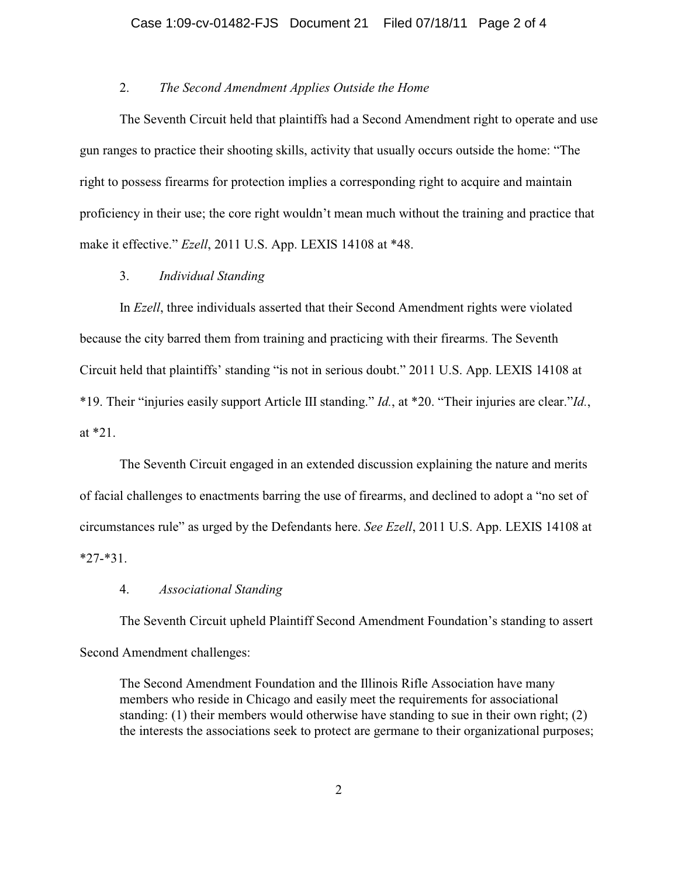### 2. *The Second Amendment Applies Outside the Home*

The Seventh Circuit held that plaintiffs had a Second Amendment right to operate and use gun ranges to practice their shooting skills, activity that usually occurs outside the home: "The right to possess firearms for protection implies a corresponding right to acquire and maintain proficiency in their use; the core right wouldn't mean much without the training and practice that make it effective." *Ezell*, 2011 U.S. App. LEXIS 14108 at \*48.

# 3. *Individual Standing*

In *Ezell*, three individuals asserted that their Second Amendment rights were violated because the city barred them from training and practicing with their firearms. The Seventh Circuit held that plaintiffs' standing "is not in serious doubt." 2011 U.S. App. LEXIS 14108 at \*19. Their "injuries easily support Article III standing." *Id.*, at \*20. "Their injuries are clear."*Id.*, at \*21.

The Seventh Circuit engaged in an extended discussion explaining the nature and merits of facial challenges to enactments barring the use of firearms, and declined to adopt a "no set of circumstances rule" as urged by the Defendants here. *See Ezell*, 2011 U.S. App. LEXIS 14108 at \*27-\*31.

#### 4. *Associational Standing*

The Seventh Circuit upheld Plaintiff Second Amendment Foundation's standing to assert Second Amendment challenges:

The Second Amendment Foundation and the Illinois Rifle Association have many members who reside in Chicago and easily meet the requirements for associational standing: (1) their members would otherwise have standing to sue in their own right; (2) the interests the associations seek to protect are germane to their organizational purposes;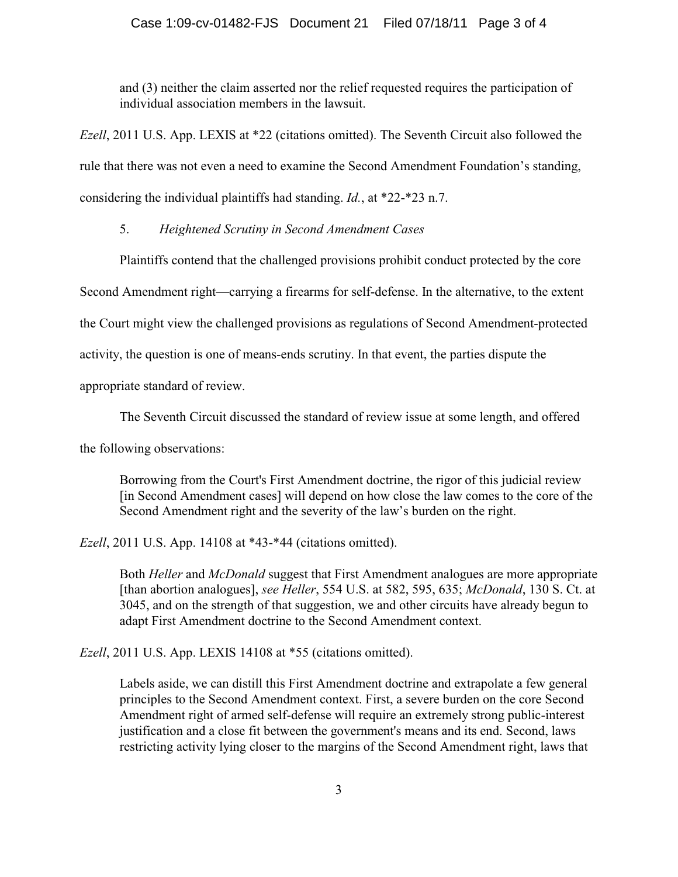and (3) neither the claim asserted nor the relief requested requires the participation of individual association members in the lawsuit.

*Ezell*, 2011 U.S. App. LEXIS at \*22 (citations omitted). The Seventh Circuit also followed the rule that there was not even a need to examine the Second Amendment Foundation's standing, considering the individual plaintiffs had standing. *Id.*, at \*22-\*23 n.7.

5. *Heightened Scrutiny in Second Amendment Cases*

Plaintiffs contend that the challenged provisions prohibit conduct protected by the core

Second Amendment right—carrying a firearms for self-defense. In the alternative, to the extent

the Court might view the challenged provisions as regulations of Second Amendment-protected

activity, the question is one of means-ends scrutiny. In that event, the parties dispute the

appropriate standard of review.

The Seventh Circuit discussed the standard of review issue at some length, and offered

the following observations:

Borrowing from the Court's First Amendment doctrine, the rigor of this judicial review [in Second Amendment cases] will depend on how close the law comes to the core of the Second Amendment right and the severity of the law's burden on the right.

*Ezell*, 2011 U.S. App. 14108 at \*43-\*44 (citations omitted).

Both *Heller* and *McDonald* suggest that First Amendment analogues are more appropriate [than abortion analogues], *see Heller*, 554 U.S. at 582, 595, 635; *McDonald*, 130 S. Ct. at 3045, and on the strength of that suggestion, we and other circuits have already begun to adapt First Amendment doctrine to the Second Amendment context.

*Ezell*, 2011 U.S. App. LEXIS 14108 at \*55 (citations omitted).

Labels aside, we can distill this First Amendment doctrine and extrapolate a few general principles to the Second Amendment context. First, a severe burden on the core Second Amendment right of armed self-defense will require an extremely strong public-interest justification and a close fit between the government's means and its end. Second, laws restricting activity lying closer to the margins of the Second Amendment right, laws that